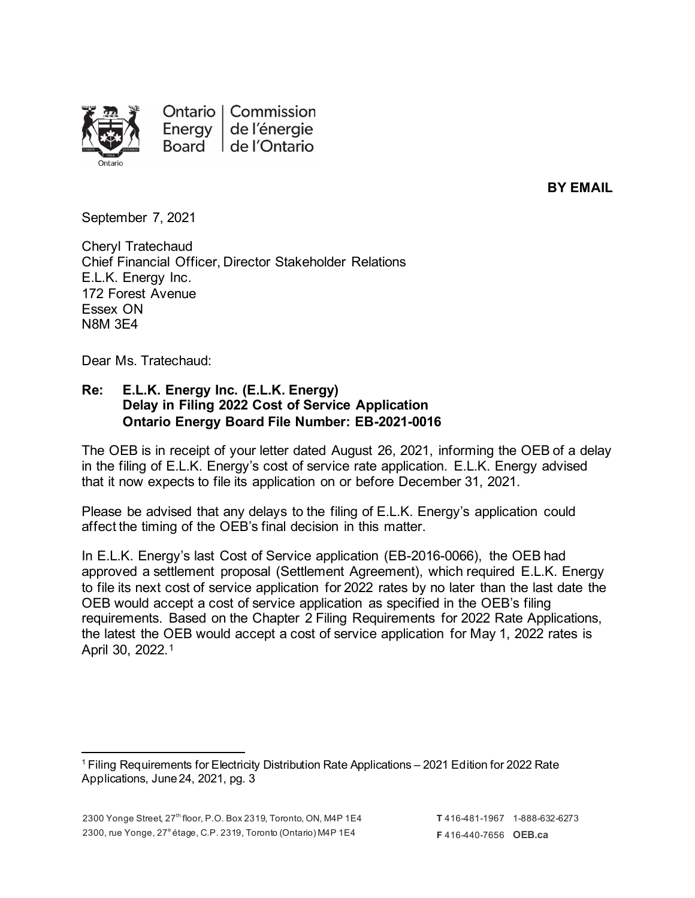

Ontario | Commission Energy de l'énergie Board de l'Ontario

**BY EMAIL**

September 7, 2021

Cheryl Tratechaud Chief Financial Officer, Director Stakeholder Relations E.L.K. Energy Inc. 172 Forest Avenue Essex ON N8M 3E4

Dear Ms. Tratechaud:

## **Re: E.L.K. Energy Inc. (E.L.K. Energy) Delay in Filing 2022 Cost of Service Application Ontario Energy Board File Number: EB-2021-0016**

The OEB is in receipt of your letter dated August 26, 2021, informing the OEB of a delay in the filing of E.L.K. Energy's cost of service rate application. E.L.K. Energy advised that it now expects to file its application on or before December 31, 2021.

Please be advised that any delays to the filing of E.L.K. Energy's application could affect the timing of the OEB's final decision in this matter.

In E.L.K. Energy's last Cost of Service application (EB-2016-0066), the OEB had approved a settlement proposal (Settlement Agreement), which required E.L.K. Energy to file its next cost of service application for 2022 rates by no later than the last date the OEB would accept a cost of service application as specified in the OEB's filing requirements. Based on the Chapter 2 Filing Requirements for 2022 Rate Applications, the latest the OEB would accept a cost of service application for May 1, 2022 rates is April 30, 2022.[1](#page-0-0)

<span id="page-0-0"></span><sup>1</sup> Filing Requirements for Electricity Distribution Rate Applications – 2021 Edition for 2022 Rate Applications, June 24, 2021, pg. 3